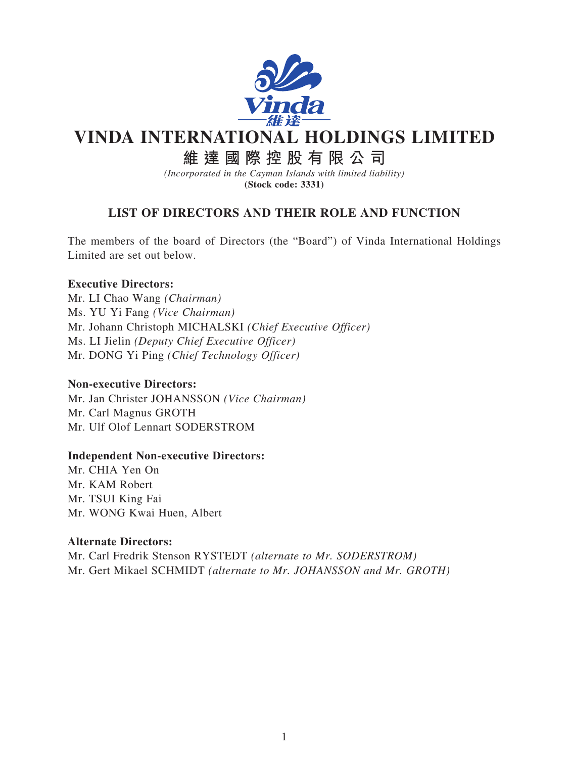

# **VINDA INTERNATIONAL HOLDINGS LIMITED**

## **維達國際控股有限公司**

*(Incorporated in the Cayman Islands with limited liability)* **(Stock code: 3331)**

### **LIST OF DIRECTORS AND THEIR ROLE AND FUNCTION**

The members of the board of Directors (the "Board") of Vinda International Holdings Limited are set out below.

#### **Executive Directors:**

Mr. LI Chao Wang *(Chairman)* Ms. YU Yi Fang *(Vice Chairman)* Mr. Johann Christoph MICHALSKI *(Chief Executive Officer)* Ms. LI Jielin *(Deputy Chief Executive Officer)* Mr. DONG Yi Ping *(Chief Technology Officer)*

#### **Non-executive Directors:**

Mr. Jan Christer JOHANSSON *(Vice Chairman)* Mr. Carl Magnus GROTH Mr. Ulf Olof Lennart SODERSTROM

#### **Independent Non-executive Directors:**

Mr. CHIA Yen On Mr. KAM Robert Mr. TSUI King Fai Mr. WONG Kwai Huen, Albert

#### **Alternate Directors:**

Mr. Carl Fredrik Stenson RYSTEDT *(alternate to Mr. SODERSTROM)* Mr. Gert Mikael SCHMIDT *(alternate to Mr. JOHANSSON and Mr. GROTH)*